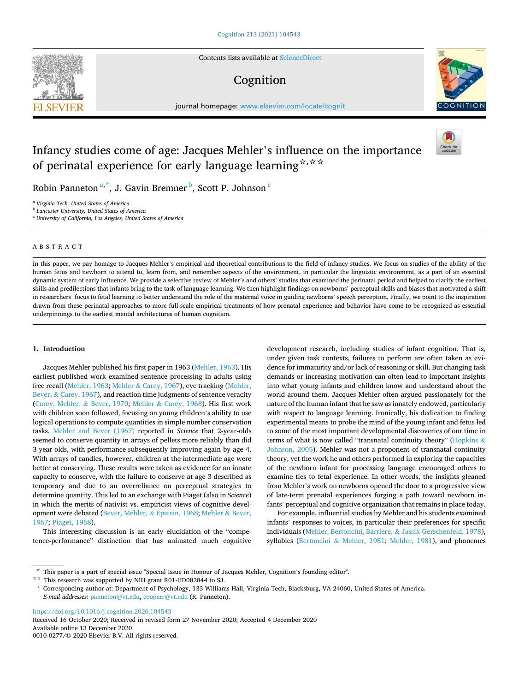

Contents lists available at [ScienceDirect](www.sciencedirect.com/science/journal/00100277)

# Cognition



journal homepage: [www.elsevier.com/locate/cognit](https://www.elsevier.com/locate/cognit)

# Infancy studies come of age: Jacques Mehler's influence on the importance of perinatal experience for early language learning<sup>☆,☆☆</sup>



Robin Panneton<sup>a,\*</sup>, J. Gavin Bremner <sup>b</sup>, Scott P. Johnson  $\mathbf{c}$ 

<sup>a</sup> *Virginia Tech, United States of America* 

<sup>b</sup> *Lancaster University, United States of America* 

<sup>c</sup> *University of California, Los Angeles, United States of America* 

## ABSTRACT

In this paper, we pay homage to Jacques Mehler's empirical and theoretical contributions to the field of infancy studies. We focus on studies of the ability of the human fetus and newborn to attend to, learn from, and remember aspects of the environment, in particular the linguistic environment, as a part of an essential dynamic system of early influence. We provide a selective review of Mehler's and others' studies that examined the perinatal period and helped to clarify the earliest skills and predilections that infants bring to the task of language learning. We then highlight findings on newborns' perceptual skills and biases that motivated a shift in researchers' focus to fetal learning to better understand the role of the maternal voice in guiding newborns' speech perception. Finally, we point to the inspiration drawn from these perinatal approaches to more full-scale empirical treatments of how prenatal experience and behavior have come to be recognized as essential underpinnings to the earliest mental architectures of human cognition.

### **1. Introduction**

Jacques Mehler published his first paper in 1963 [\(Mehler, 1963](#page-3-0)). His earliest published work examined sentence processing in adults using free recall ([Mehler, 1963;](#page-3-0) Mehler & [Carey, 1967](#page-3-0)), eye tracking ([Mehler,](#page-3-0)  Bever, & [Carey, 1967\)](#page-3-0), and reaction time judgments of sentence veracity ([Carey, Mehler,](#page-3-0) & Bever, 1970; Mehler & [Carey, 1968\)](#page-3-0). His first work with children soon followed, focusing on young children's ability to use logical operations to compute quantities in simple number conservation tasks. [Mehler and Bever \(1967\)](#page-3-0) reported in *Science* that 2-year-olds seemed to conserve quantity in arrays of pellets more reliably than did 3-year-olds, with performance subsequently improving again by age 4. With arrays of candies, however, children at the intermediate age were better at conserving. These results were taken as evidence for an innate capacity to conserve, with the failure to conserve at age 3 described as temporary and due to an overreliance on perceptual strategies to determine quantity. This led to an exchange with Piaget (also in *Science*) in which the merits of nativist vs. empiricist views of cognitive development were debated [\(Bever, Mehler,](#page-3-0) & Epstein, 1968; [Mehler](#page-3-0) & Bever, [1967;](#page-3-0) [Piaget, 1968\)](#page-4-0).

This interesting discussion is an early elucidation of the "competence-performance" distinction that has animated much cognitive development research, including studies of infant cognition. That is, under given task contexts, failures to perform are often taken as evidence for immaturity and/or lack of reasoning or skill. But changing task demands or increasing motivation can often lead to important insights into what young infants and children know and understand about the world around them. Jacques Mehler often argued passionately for the nature of the human infant that he saw as innately endowed, particularly with respect to language learning. Ironically, his dedication to finding experimental means to probe the mind of the young infant and fetus led to some of the most important developmental discoveries of our time in terms of what is now called "transnatal continuity theory" ([Hopkins](#page-3-0)  $\&$ [Johnson, 2005](#page-3-0)). Mehler was not a proponent of transnatal continuity theory, yet the work he and others performed in exploring the capacities of the newborn infant for processing language encouraged others to examine ties to fetal experience. In other words, the insights gleaned from Mehler's work on newborns opened the door to a progressive view of late-term prenatal experiences forging a path toward newborn infants' perceptual and cognitive organization that remains in place today.

For example, influential studies by Mehler and his students examined infants' responses to voices, in particular their preferences for specific individuals ([Mehler, Bertoncini, Barriere,](#page-3-0) & Jassik-Gerschenfeld, 1978), syllables (Bertoncini & [Mehler, 1981;](#page-3-0) [Mehler, 1981](#page-3-0)), and phonemes

<https://doi.org/10.1016/j.cognition.2020.104543>

Available online 13 December 2020 0010-0277/© 2020 Elsevier B.V. All rights reserved. Received 16 October 2020; Received in revised form 27 November 2020; Accepted 4 December 2020

<sup>☆</sup> This paper is a part of special issue "Special Issue in Honour of Jacques Mehler, Cognition's founding editor".

<sup>☆☆</sup> This research was supported by NIH grant R01-HD082844 to SJ.

<sup>\*</sup> Corresponding author at: Department of Psychology, 133 Williams Hall, Virginia Tech, Blacksburg, VA 24060, United States of America. *E-mail addresses:* [panneton@vt.edu](mailto:panneton@vt.edu), [cooperr@vt.edu](mailto:cooperr@vt.edu) (R. Panneton).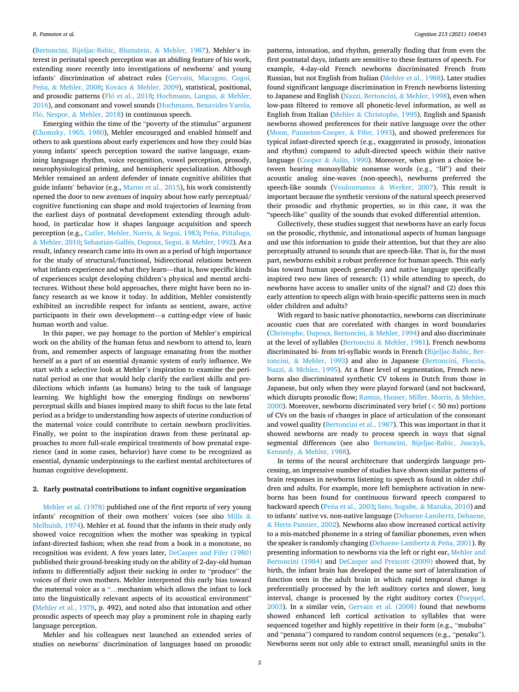([Bertoncini, Bijeljac-Babic, Blumstein,](#page-3-0) & Mehler, 1987). Mehler's interest in perinatal speech perception was an abiding feature of his work, extending more recently into investigations of newborns' and young infants' discrimination of abstract rules [\(Gervain, Macagno, Cogoi,](#page-3-0)  Peña, & [Mehler, 2008](#page-3-0); Kovács & [Mehler, 2009](#page-3-0)), statistical, positional, and prosodic patterns (Fló [et al., 2018;](#page-3-0) [Hochmann, Langus,](#page-3-0) & Mehler, [2016\)](#page-3-0), and consonant and vowel sounds ([Hochmann, Benavides-Varela,](#page-3-0)  Fló, Nespor, & [Mehler, 2018\)](#page-3-0) in continuous speech.

Emerging within the time of the "poverty of the stimulus" argument ([Chomsky, 1965, 1980\)](#page-3-0), Mehler encouraged and enabled himself and others to ask questions about early experiences and how they could bias young infants' speech perception toward the native language, examining language rhythm, voice recognition, vowel perception, prosody, neurophysiological priming, and hemispheric specialization. Although Mehler remained an ardent defender of innate cognitive abilities that guide infants' behavior (e.g., [Marno et al., 2015\)](#page-3-0), his work consistently opened the door to new avenues of inquiry about how early perceptual/ cognitive functioning can shape and mold trajectories of learning from the earliest days of postnatal development extending through adulthood, in particular how it shapes language acquisition and speech perception (e.g., [Cutler, Mehler, Norris,](#page-3-0) & Segui, 1983; Peña, Pittaluga, & [Mehler, 2010](#page-4-0); Sebastián-Gallés, Dupoux, Segui, & Mehler, 1992). As a result, infancy research came into its own as a period of high importance for the study of structural/functional, bidirectional relations between what infants experience and what they learn—that is, how specific kinds of experiences sculpt developing children's physical and mental architectures. Without these bold approaches, there might have been no infancy research as we know it today. In addition, Mehler consistently exhibited an incredible respect for infants as sentient, aware, active participants in their own development—a cutting-edge view of basic human worth and value.

In this paper, we pay homage to the portion of Mehler's empirical work on the ability of the human fetus and newborn to attend to, learn from, and remember aspects of language emanating from the mother herself as a part of an essential dynamic system of early influence. We start with a selective look at Mehler's inspiration to examine the perinatal period as one that would help clarify the earliest skills and predilections which infants (as humans) bring to the task of language learning. We highlight how the emerging findings on newborns' perceptual skills and biases inspired many to shift focus to the late fetal period as a bridge to understanding how aspects of uterine conduction of the maternal voice could contribute to certain newborn proclivities. Finally, we point to the inspiration drawn from these perinatal approaches to more full-scale empirical treatments of how prenatal experience (and in some cases, behavior) have come to be recognized as essential, dynamic underpinnings to the earliest mental architectures of human cognitive development.

### **2. Early postnatal contributions to infant cognitive organization**

[Mehler et al. \(1978\)](#page-3-0) published one of the first reports of very young infants' recognition of their own mothers' voices (see also [Mills](#page-3-0) & [Melhuish, 1974](#page-3-0)). Mehler et al. found that the infants in their study only showed voice recognition when the mother was speaking in typical infant-directed fashion; when she read from a book in a monotone, no recognition was evident. A few years later, [DeCasper and Fifer \(1980\)](#page-3-0)  published their ground-breaking study on the ability of 2-day-old human infants to differentially adjust their sucking in order to "produce" the voices of their own mothers. Mehler interpreted this early bias toward the maternal voice as a "…mechanism which allows the infant to lock into the linguistically relevant aspects of its acoustical environment" ([Mehler et al., 1978,](#page-3-0) p. 492), and noted also that intonation and other prosodic aspects of speech may play a prominent role in shaping early language perception.

Mehler and his colleagues next launched an extended series of studies on newborns' discrimination of languages based on prosodic

patterns, intonation, and rhythm, generally finding that from even the first postnatal days, infants are sensitive to these features of speech. For example, 4-day-old French newborns discriminated French from Russian, but not English from Italian ([Mehler et al., 1988\)](#page-3-0). Later studies found significant language discrimination in French newborns listening to Japanese and English [\(Nazzi, Bertoncini,](#page-4-0) & Mehler, 1998), even when low-pass filtered to remove all phonetic-level information, as well as English from Italian (Mehler & [Christophe, 1995\)](#page-3-0). English and Spanish newborns showed preferences for their native language over the other ([Moon, Panneton-Cooper,](#page-3-0) & Fifer, 1993), and showed preferences for typical infant-directed speech (e.g., exaggerated in prosody, intonation and rhythm) compared to adult-directed speech within their native language (Cooper & [Aslin, 1990\)](#page-3-0). Moreover, when given a choice between hearing monosyllabic nonsense words (e.g., "lif") and their acoustic analog sine-waves (non-speech), newborns preferred the speech-like sounds (Vouloumanos & [Werker, 2007\)](#page-4-0). This result is important because the synthetic versions of the natural speech preserved their prosodic and rhythmic properties, so in this case, it was the "speech-like" quality of the sounds that evoked differential attention.

Collectively, these studies suggest that newborns have an early focus on the prosodic, rhythmic, and intonational aspects of human language and use this information to guide their attention, but that they are also perceptually attuned to sounds that are speech-like. That is, for the most part, newborns exhibit a robust preference for human speech. This early bias toward human speech generally and native language specifically inspired two new lines of research: (1) while attending to speech, do newborns have access to smaller units of the signal? and (2) does this early attention to speech align with brain-specific patterns seen in much older children and adults?

With regard to basic native phonotactics, newborns can discriminate acoustic cues that are correlated with changes in word boundaries ([Christophe, Dupoux, Bertoncini,](#page-3-0) & Mehler, 1994) and also discriminate at the level of syllables (Bertoncini & [Mehler, 1981](#page-3-0)). French newborns discriminated bi- from tri-syllabic words in French ([Bijeljac-Babic, Ber](#page-3-0)toncini, & [Mehler, 1993](#page-3-0)) and also in Japanese ([Bertoncini, Floccia,](#page-3-0)  Nazzi, & [Mehler, 1995\)](#page-3-0). At a finer level of segmentation, French newborns also discriminated synthetic CV tokens in Dutch from those in Japanese, but only when they were played forward (and not backward, which disrupts prosodic flow; [Ramus, Hauser, Miller, Morris,](#page-4-0) & Mehler, [2000\)](#page-4-0). Moreover, newborns discriminated very brief (*<* 50 ms) portions of CVs on the basis of changes in place of articulation of the consonant and vowel quality [\(Bertoncini et al., 1987\)](#page-3-0). This was important in that it showed newborns are ready to process speech in ways that signal segmental differences (see also [Bertoncini, Bijeljac-Babic, Jusczyk,](#page-3-0)  Kennedy, & [Mehler, 1988\)](#page-3-0).

In terms of the neural architecture that undergirds language processing, an impressive number of studies have shown similar patterns of brain responses in newborns listening to speech as found in older children and adults. For example, more left hemisphere activation in newborns has been found for continuous forward speech compared to backward speech (Peña [et al., 2003;](#page-4-0) Sato, Sogabe, & [Mazuka, 2010\)](#page-4-0) and to infants' native vs. non-native language [\(Dehaene-Lambertz, Dehaene,](#page-3-0)  & [Hertz-Pannier, 2002](#page-3-0)). Newborns also show increased cortical activity to a mis-matched phoneme in a string of familiar phonemes, even when the speaker is randomly changing ([Dehaene-Lambertz](#page-3-0) & Peña, 2001). By presenting information to newborns via the left or right ear, [Mehler and](#page-3-0)  [Bertoncini \(1984\)](#page-3-0) and [DeCasper and Prescott \(2009\)](#page-3-0) showed that, by birth, the infant brain has developed the same sort of lateralization of function seen in the adult brain in which rapid temporal change is preferentially processed by the left auditory cortex and slower, long interval, change is processed by the right auditory cortex [\(Poeppel,](#page-4-0)  [2003\)](#page-4-0). In a similar vein, [Gervain et al. \(2008\)](#page-3-0) found that newborns showed enhanced left cortical activation to syllables that were sequenced together and highly repetitive in their form (e.g., "mubaba" and "penana") compared to random control sequences (e.g., "penaku"). Newborns seem not only able to extract small, meaningful units in the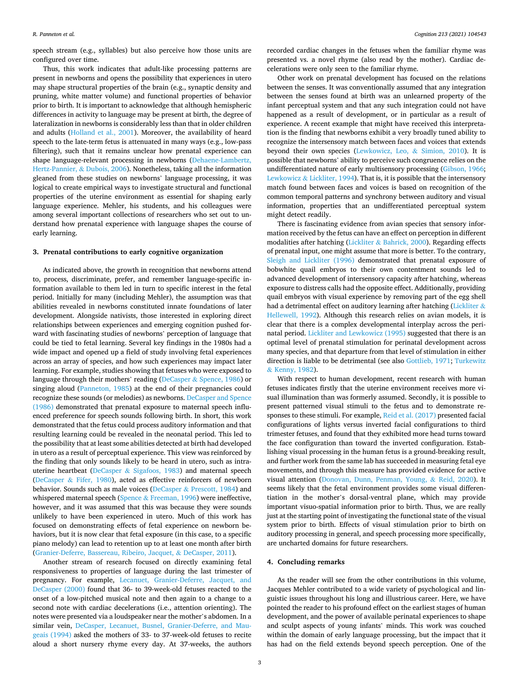speech stream (e.g., syllables) but also perceive how those units are configured over time.

Thus, this work indicates that adult-like processing patterns are present in newborns and opens the possibility that experiences in utero may shape structural properties of the brain (e.g., synaptic density and pruning, white matter volume) and functional properties of behavior prior to birth. It is important to acknowledge that although hemispheric differences in activity to language may be present at birth, the degree of lateralization in newborns is considerably less than that in older children and adults [\(Holland et al., 2001\)](#page-3-0). Moreover, the availability of heard speech to the late-term fetus is attenuated in many ways (e.g., low-pass filtering), such that it remains unclear how prenatal experience can shape language-relevant processing in newborns ([Dehaene-Lambertz,](#page-3-0)  [Hertz-Pannier,](#page-3-0) & Dubois, 2006). Nonetheless, taking all the information gleaned from these studies on newborns' language processing, it was logical to create empirical ways to investigate structural and functional properties of the uterine environment as essential for shaping early language experience. Mehler, his students, and his colleagues were among several important collections of researchers who set out to understand how prenatal experience with language shapes the course of early learning.

### **3. Prenatal contributions to early cognitive organization**

As indicated above, the growth in recognition that newborns attend to, process, discriminate, prefer, and remember language-specific information available to them led in turn to specific interest in the fetal period. Initially for many (including Mehler), the assumption was that abilities revealed in newborns constituted innate foundations of later development. Alongside nativists, those interested in exploring direct relationships between experiences and emerging cognition pushed forward with fascinating studies of newborns' perception of language that could be tied to fetal learning. Several key findings in the 1980s had a wide impact and opened up a field of study involving fetal experiences across an array of species, and how such experiences may impact later learning. For example, studies showing that fetuses who were exposed to language through their mothers' reading (DeCasper & [Spence, 1986](#page-3-0)) or singing aloud ([Panneton, 1985](#page-4-0)) at the end of their pregnancies could recognize these sounds (or melodies) as newborns. [DeCasper and Spence](#page-3-0)  [\(1986\)](#page-3-0) demonstrated that prenatal exposure to maternal speech influenced preference for speech sounds following birth. In short, this work demonstrated that the fetus could process auditory information and that resulting learning could be revealed in the neonatal period. This led to the possibility that at least some abilities detected at birth had developed in utero as a result of perceptual experience. This view was reinforced by the finding that only sounds likely to be heard in utero, such as intrauterine heartbeat (DeCasper & [Sigafoos, 1983](#page-3-0)) and maternal speech (DeCasper & [Fifer, 1980](#page-3-0)), acted as effective reinforcers of newborn behavior. Sounds such as male voices (DeCasper & [Prescott, 1984](#page-3-0)) and whispered maternal speech (Spence  $&$  [Freeman, 1996](#page-4-0)) were ineffective, however, and it was assumed that this was because they were sounds unlikely to have been experienced in utero. Much of this work has focused on demonstrating effects of fetal experience on newborn behaviors, but it is now clear that fetal exposure (in this case, to a specific piano melody) can lead to retention up to at least one month after birth ([Granier-Deferre, Bassereau, Ribeiro, Jacquet,](#page-3-0) & DeCasper, 2011).

Another stream of research focused on directly examining fetal responsiveness to properties of language during the last trimester of pregnancy. For example, [Lecanuet, Granier-Deferre, Jacquet, and](#page-3-0)  [DeCasper \(2000\)](#page-3-0) found that 36- to 39-week-old fetuses reacted to the onset of a low-pitched musical note and then again to a change to a second note with cardiac decelerations (i.e., attention orienting). The notes were presented via a loudspeaker near the mother's abdomen. In a similar vein, [DeCasper, Lecanuet, Busnel, Granier-Deferre, and Mau](#page-3-0)[geais \(1994\)](#page-3-0) asked the mothers of 33- to 37-week-old fetuses to recite aloud a short nursery rhyme every day. At 37-weeks, the authors

recorded cardiac changes in the fetuses when the familiar rhyme was presented vs. a novel rhyme (also read by the mother). Cardiac decelerations were only seen to the familiar rhyme.

Other work on prenatal development has focused on the relations between the senses. It was conventionally assumed that any integration between the senses found at birth was an unlearned property of the infant perceptual system and that any such integration could not have happened as a result of development, or in particular as a result of experience. A recent example that might have received this interpretation is the finding that newborns exhibit a very broadly tuned ability to recognize the intersensory match between faces and voices that extends beyond their own species [\(Lewkowicz, Leo,](#page-3-0) & Simion, 2010). It is possible that newborns' ability to perceive such congruence relies on the undifferentiated nature of early multisensory processing ([Gibson, 1966](#page-3-0); Lewkowicz & [Lickliter, 1994\)](#page-3-0). That is, it is possible that the intersensory match found between faces and voices is based on recognition of the common temporal patterns and synchrony between auditory and visual information, properties that an undifferentiated perceptual system might detect readily.

There is fascinating evidence from avian species that sensory information received by the fetus can have an effect on perception in different modalities after hatching (Lickliter & [Bahrick, 2000](#page-3-0)). Regarding effects of prenatal input, one might assume that more is better. To the contrary, [Sleigh and Lickliter \(1996\)](#page-4-0) demonstrated that prenatal exposure of bobwhite quail embryos to their own contentment sounds led to advanced development of intersensory capacity after hatching, whereas exposure to distress calls had the opposite effect. Additionally, providing quail embryos with visual experience by removing part of the egg shell had a detrimental effect on auditory learning after hatching [\(Lickliter](#page-3-0)  $\&$ [Hellewell, 1992](#page-3-0)). Although this research relies on avian models, it is clear that there is a complex developmental interplay across the perinatal period. [Lickliter and Lewkowicz \(1995\)](#page-3-0) suggested that there is an optimal level of prenatal stimulation for perinatal development across many species, and that departure from that level of stimulation in either direction is liable to be detrimental (see also [Gottlieb, 1971](#page-3-0); [Turkewitz](#page-4-0)  & [Kenny, 1982](#page-4-0)).

With respect to human development, recent research with human fetuses indicates firstly that the uterine environment receives more visual illumination than was formerly assumed. Secondly, it is possible to present patterned visual stimuli to the fetus and to demonstrate responses to these stimuli. For example, [Reid et al. \(2017\)](#page-4-0) presented facial configurations of lights versus inverted facial configurations to third trimester fetuses, and found that they exhibited more head turns toward the face configuration than toward the inverted configuration. Establishing visual processing in the human fetus is a ground-breaking result, and further work from the same lab has succeeded in measuring fetal eye movements, and through this measure has provided evidence for active visual attention [\(Donovan, Dunn, Penman, Young,](#page-3-0) & Reid, 2020). It seems likely that the fetal environment provides some visual differentiation in the mother's dorsal-ventral plane, which may provide important visuo-spatial information prior to birth. Thus, we are really just at the starting point of investigating the functional state of the visual system prior to birth. Effects of visual stimulation prior to birth on auditory processing in general, and speech processing more specifically, are uncharted domains for future researchers.

#### **4. Concluding remarks**

As the reader will see from the other contributions in this volume, Jacques Mehler contributed to a wide variety of psychological and linguistic issues throughout his long and illustrious career. Here, we have pointed the reader to his profound effect on the earliest stages of human development, and the power of available perinatal experiences to shape and sculpt aspects of young infants' minds. This work was couched within the domain of early language processing, but the impact that it has had on the field extends beyond speech perception. One of the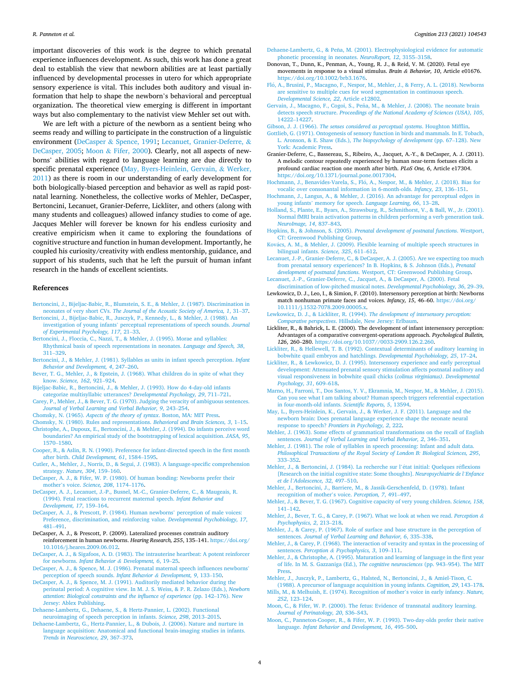<span id="page-3-0"></span>important discoveries of this work is the degree to which prenatal experience influences development. As such, this work has done a great deal to establish the view that newborn abilities are at least partially influenced by developmental processes in utero for which appropriate sensory experience is vital. This includes both auditory and visual information that help to shape the newborn's behavioral and perceptual organization. The theoretical view emerging is different in important ways but also complementary to the nativist view Mehler set out with.

We are left with a picture of the newborn as a sentient being who seems ready and willing to participate in the construction of a linguistic environment (DeCasper & Spence, 1991; Lecanuet, Granier-Deferre, & DeCasper, 2005; Moon & Fifer, 2000). Clearly, not all aspects of newborns' abilities with regard to language learning are due directly to specific prenatal experience (May, Byers-Heinlein, Gervain, & Werker, 2011) as there is room in our understanding of early development for both biologically-biased perception and behavior as well as rapid postnatal learning. Nonetheless, the collective works of Mehler, DeCasper, Bertoncini, Lecanuet, Granier-Deferre, Lickliter, and others (along with many students and colleagues) allowed infancy studies to come of age. Jacques Mehler will forever be known for his endless curiosity and creative empiricism when it came to exploring the foundations of cognitive structure and function in human development. Importantly, he coupled his curiosity/creativity with endless mentorship, guidance, and support of his students, such that he left the pursuit of human infant research in the hands of excellent scientists.

#### **References**

- [Bertoncini, J., Bijeljac-Babic, R., Blumstein, S. E., & Mehler, J. \(1987\). Discrimination in](http://refhub.elsevier.com/S0010-0277(20)30362-0/rf0005)  neonates of very short CVs. *[The Journal of the Acoustic Society of America, 1](http://refhub.elsevier.com/S0010-0277(20)30362-0/rf0005)*, 31–37.
- [Bertoncini, J., Bijeljac-Babic, R., Jusczyk, P., Kennedy, L., & Mehler, J. \(1988\). An](http://refhub.elsevier.com/S0010-0277(20)30362-0/rf0010)  investigation of young infants' [perceptual representations of speech sounds.](http://refhub.elsevier.com/S0010-0277(20)30362-0/rf0010) *Journal [of Experimental Psychology, 117](http://refhub.elsevier.com/S0010-0277(20)30362-0/rf0010)*, 21–33.
- [Bertoncini, J., Floccia, C., Nazzi, T., & Mehler, J. \(1995\). Morae and syllables:](http://refhub.elsevier.com/S0010-0277(20)30362-0/rf0015)  [Rhythmical basis of speech representations in neonates.](http://refhub.elsevier.com/S0010-0277(20)30362-0/rf0015) *Language and Speech, 38*, 311–[329](http://refhub.elsevier.com/S0010-0277(20)30362-0/rf0015).
- [Bertoncini, J., & Mehler, J. \(1981\). Syllables as units in infant speech perception.](http://refhub.elsevier.com/S0010-0277(20)30362-0/rf0020) *Infant [Behavior and Development, 4](http://refhub.elsevier.com/S0010-0277(20)30362-0/rf0020)*, 247–260.
- [Bever, T. G., Mehler, J., & Epstein, J. \(1968\). What children do in spite of what they](http://refhub.elsevier.com/S0010-0277(20)30362-0/rf0025) know. *[Science, 162](http://refhub.elsevier.com/S0010-0277(20)30362-0/rf0025)*, 921–924.
- [Bijeljac-Babic, R., Bertoncini, J., & Mehler, J. \(1993\). How do 4-day-old infants](http://refhub.elsevier.com/S0010-0277(20)30362-0/rf0030)  [categorize multisyllabic utterances?](http://refhub.elsevier.com/S0010-0277(20)30362-0/rf0030) *Developmental Psychology, 29*, 711–721.
- [Carey, P., Mehler, J., & Bever, T. G. \(1970\). Judging the veracity of ambiguous sentences.](http://refhub.elsevier.com/S0010-0277(20)30362-0/rf0035)
- *[Journal of Verbal Learning and Verbal Behavior, 9](http://refhub.elsevier.com/S0010-0277(20)30362-0/rf0035)*, 243–254.
- Chomsky, N. (1965). *[Aspects of the theory of syntax](http://refhub.elsevier.com/S0010-0277(20)30362-0/rf0040)*. Boston, MA: MIT Press. [Chomsky, N. \(1980\). Rules and representations.](http://refhub.elsevier.com/S0010-0277(20)30362-0/rf0045) *Behavioral and Brain Sciences, 3*, 1–15.
- [Christophe, A., Dupoux, E., Bertoncini, J., & Mehler, J. \(1994\). Do infants perceive word](http://refhub.elsevier.com/S0010-0277(20)30362-0/rf0050)  [boundaries? An empirical study of the bootstrapping of lexical acquisition.](http://refhub.elsevier.com/S0010-0277(20)30362-0/rf0050) *JASA, 95*, [1570](http://refhub.elsevier.com/S0010-0277(20)30362-0/rf0050)–1580.
- [Cooper, R., & Aslin, R. N. \(1990\). Preference for infant-directed speech in the first month](http://refhub.elsevier.com/S0010-0277(20)30362-0/rf0055)  after birth. *[Child Development, 61](http://refhub.elsevier.com/S0010-0277(20)30362-0/rf0055)*, 1584–1595.
- [Cutler, A., Mehler, J., Norris, D., & Segui, J. \(1983\). A language-specific comprehension](http://refhub.elsevier.com/S0010-0277(20)30362-0/rf0060)  strategy. *[Nature, 304](http://refhub.elsevier.com/S0010-0277(20)30362-0/rf0060)*, 159–160.
- [DeCasper, A. J., & Fifer, W. P. \(1980\). Of human bonding: Newborns prefer their](http://refhub.elsevier.com/S0010-0277(20)30362-0/rf0065)  mother's voice. *[Science, 208](http://refhub.elsevier.com/S0010-0277(20)30362-0/rf0065)*, 1174–1176.
- [DeCasper, A. J., Lecanuet, J.-P., Busnel, M.-C., Granier-Deferre, C., & Maugeais, R.](http://refhub.elsevier.com/S0010-0277(20)30362-0/rf0070) [\(1994\). Fetal reactions to recurrent maternal speech.](http://refhub.elsevier.com/S0010-0277(20)30362-0/rf0070) *Infant Behavior and [Development, 17](http://refhub.elsevier.com/S0010-0277(20)30362-0/rf0070)*, 159–164.
- [DeCasper, A. J., & Prescott, P. \(1984\). Human newborns](http://refhub.elsevier.com/S0010-0277(20)30362-0/rf0075)' perception of male voices: [Preference, discrimination, and reinforcing value.](http://refhub.elsevier.com/S0010-0277(20)30362-0/rf0075) *Developmental Psychobiology, 17*, 481–[491](http://refhub.elsevier.com/S0010-0277(20)30362-0/rf0075).
- DeCasper, A. J., & Prescott, P. (2009). Lateralized processes constrain auditory reinforcement in human newborns. *Hearing Research, 255*, 135–141. [https://doi.org/](https://doi.org/10.1016/j.heares.2009.06.012)  [10.1016/j.heares.2009.06.012](https://doi.org/10.1016/j.heares.2009.06.012).
- [DeCasper, A. J., & Sigafoos, A. D. \(1983\). The intrauterine heartbeat: A potent reinforcer](http://refhub.elsevier.com/S0010-0277(20)30362-0/rf0085)  for newborns. *[Infant Behavior](http://refhub.elsevier.com/S0010-0277(20)30362-0/rf0085) & Development, 6*, 19–25.
- [DeCasper, A. J., & Spence, M. J. \(1986\). Prenatal maternal speech influences newborns](http://refhub.elsevier.com/S0010-0277(20)30362-0/rf0090)' [perception of speech sounds.](http://refhub.elsevier.com/S0010-0277(20)30362-0/rf0090) *Infant Behavior & Development, 9*, 133–150.
- [DeCasper, A. J., & Spence, M. J. \(1991\). Auditorily mediated behavior during the](http://refhub.elsevier.com/S0010-0277(20)30362-0/rf0095)  [perinatal period: A cognitive view. In M. J. S. Weiss, & P. R. Zelazo \(Eds.\),](http://refhub.elsevier.com/S0010-0277(20)30362-0/rf0095) *Newborn [attention: Biological constraints and the influence of experience](http://refhub.elsevier.com/S0010-0277(20)30362-0/rf0095)* (pp. 142–176). New [Jersey: Ablex Publishing](http://refhub.elsevier.com/S0010-0277(20)30362-0/rf0095).
- [Dehaene-Lambertz, G., Dehaene, S., & Hertz-Pannier, L. \(2002\). Functional](http://refhub.elsevier.com/S0010-0277(20)30362-0/rf0100)  [neuroimaging of speech perception in infants.](http://refhub.elsevier.com/S0010-0277(20)30362-0/rf0100) *Science, 298*, 2013–2015.

[Dehaene-Lambertz, G., Hertz-Pannier, L., & Dubois, J. \(2006\). Nature and nurture in](http://refhub.elsevier.com/S0010-0277(20)30362-0/rf0105) [language acquisition: Anatomical and functional brain-imaging studies in infants.](http://refhub.elsevier.com/S0010-0277(20)30362-0/rf0105)  *[Trends in Neuroscience, 29](http://refhub.elsevier.com/S0010-0277(20)30362-0/rf0105)*, 367–373.

- Dehaene-Lambertz, G., & Peña, M. (2001). Electrophysiological evidence for automatic [phonetic processing in neonates.](http://refhub.elsevier.com/S0010-0277(20)30362-0/rf0110) *NeuroReport, 12*, 3155–3158.
- Donovan, T., Dunn, K., Penman, A., Young, R. J., & Reid, V. M. (2020). Fetal eye movements in response to a visual stimulus. *Brain & Behavior, 10*, Article e01676. [https://doi.org/10.1002/brb3.1676.](https://doi.org/10.1002/brb3.1676)
- Fló, A., Brusini, P., Macagno, F., Nespor, M., Mehler, J., & Ferry, A. L. (2018). Newborns [are sensitive to multiple cues for word segmentation in continuous speech.](http://refhub.elsevier.com/S0010-0277(20)30362-0/rf0120) *[Developmental Science, 22](http://refhub.elsevier.com/S0010-0277(20)30362-0/rf0120)*, Article e12802.
- Gervain, J., Macagno, F., Cogoi, S., Peña, [M., & Mehler, J. \(2008\). The neonate brain](http://refhub.elsevier.com/S0010-0277(20)30362-0/rf0125) detects speech structure. *[Proceedings of the National Academy of Sciences \(USA\), 105](http://refhub.elsevier.com/S0010-0277(20)30362-0/rf0125)*, 14222–[14227.](http://refhub.elsevier.com/S0010-0277(20)30362-0/rf0125)
- Gibson, J. J. (1966). *[The senses considered as perceptual systems](http://refhub.elsevier.com/S0010-0277(20)30362-0/rf0130)*. Houghton Mifflin.
- [Gottlieb, G. \(1971\). Ontogenesis of sensory function in birds and mammals. In E. Tobach,](http://refhub.elsevier.com/S0010-0277(20)30362-0/rf0135)  L. Aronson, & E. Shaw (Eds.), *[The biopsychology of development](http://refhub.elsevier.com/S0010-0277(20)30362-0/rf0135)* (pp. 67–128). New [York: Academic Press.](http://refhub.elsevier.com/S0010-0277(20)30362-0/rf0135)
- Granier-Deferre, C., Bassereau, S., Ribeiro, A., Jacquet, A.-Y., & DeCasper, A. J. (2011). A melodic contour repeatedly experienced by human near-term foetuses elicits a profound cardiac reaction one month after birth. *PLoS One, 6*, Article e17304. <https://doi.org/10.1371/journal.pone.0017304>.
- Hochmann, J., Benavides-Varela, S., Fló, A., Nespor, M., & Mehler, J. (2018). Bias for [vocalic over consonantal information in 6-month-olds.](http://refhub.elsevier.com/S0010-0277(20)30362-0/rf0145) *Infancy, 23*, 136–151.
- [Hochmann, J., Langus, A., & Mehler, J. \(2016\). An advantage for perceptual edges in](http://refhub.elsevier.com/S0010-0277(20)30362-0/rf0150)  young infants' memory for speech. *[Language Learning, 66](http://refhub.elsevier.com/S0010-0277(20)30362-0/rf0150)*, 13–28.
- [Holland, S., Plante, E., Byars, A., Strawsburg, R., Schmithorst, V., & Ball, W., Jr. \(2001\).](http://refhub.elsevier.com/S0010-0277(20)30362-0/rf0155)  [Normal fMRI brain activation patterns in children performing a verb generation task.](http://refhub.elsevier.com/S0010-0277(20)30362-0/rf0155)  *[NeuroImage, 14](http://refhub.elsevier.com/S0010-0277(20)30362-0/rf0155)*, 837–843.
- Hopkins, B., & Johnson, S. (2005). *[Prenatal development of postnatal functions](http://refhub.elsevier.com/S0010-0277(20)30362-0/rf0160)*. Westport, [CT: Greenwood Publishing Group](http://refhub.elsevier.com/S0010-0277(20)30362-0/rf0160).
- Kovács, A. M., & Mehler, J. (2009). Flexible learning of multiple speech structures in [bilingual infants.](http://refhub.elsevier.com/S0010-0277(20)30362-0/rf0165) *Science, 325*, 611–612.
- [Lecanuet, J.-P., Granier-Deferre, C., & DeCasper, A. J. \(2005\). Are we expecting too much](http://refhub.elsevier.com/S0010-0277(20)30362-0/rf0170)  [from prenatal sensory experiences? In B. Hopkins, & S. Johnson \(Eds.\),](http://refhub.elsevier.com/S0010-0277(20)30362-0/rf0170) *Prenatal development of postnatal functions*[. Westport, CT: Greenwood Publishing Group](http://refhub.elsevier.com/S0010-0277(20)30362-0/rf0170).
- [Lecanuet, J.-P., Granier-Deferre, C., Jacquet, A., & DeCasper, A. \(2000\). Fetal](http://refhub.elsevier.com/S0010-0277(20)30362-0/rf0175)  [discrimination of low-pitched musical notes.](http://refhub.elsevier.com/S0010-0277(20)30362-0/rf0175) *Developmental Psychobiology, 36*, 29–39. Lewkowicz, D. J., Leo, I., & Simion, F. (2010). Intersensory perception at birth: Newborns
- match nonhuman primate faces and voices. *Infancy, 15*, 46–60. [https://doi.org/](https://doi.org/10.1111/j.1532-7078.2009.00005.x) [10.1111/j.1532-7078.2009.00005.x](https://doi.org/10.1111/j.1532-7078.2009.00005.x).
- Lewkowicz, D. J., & Lickliter, R. (1994). *[The development of intersensory perception:](http://refhub.elsevier.com/S0010-0277(20)30362-0/rf0185) Comparative perspectives*[. Hillsdale, New Jersey: Erlbaum.](http://refhub.elsevier.com/S0010-0277(20)30362-0/rf0185)
- Lickliter, R., & Bahrick, L. E. (2000). The development of infant intersensory perception: Advantages of a comparative convergent-operations approach. *Psychological Bulletin, 126*, 260–280. [https://doi.org/10.1037//0033-2909.126.2.260.](https://doi.org/10.1037//0033-2909.126.2.260)
- [Lickliter, R., & Hellewell, T. B. \(1992\). Contextual determinants of auditory learning in](http://refhub.elsevier.com/S0010-0277(20)30362-0/rf0195)  [bobwhite quail embryos and hatchlings.](http://refhub.elsevier.com/S0010-0277(20)30362-0/rf0195) *Developmental Psychobiology, 25*, 17–24.
- [Lickliter, R., & Lewkowicz, D. J. \(1995\). Intersensory experience and early perceptual](http://refhub.elsevier.com/S0010-0277(20)30362-0/rf0200)  [development: Attenuated prenatal sensory stimulation affects postnatal auditory and](http://refhub.elsevier.com/S0010-0277(20)30362-0/rf0200)  [visual responsiveness in bobwhite quail chicks \(](http://refhub.elsevier.com/S0010-0277(20)30362-0/rf0200)*colinus virginianus)*. *Developmental [Psychology, 31](http://refhub.elsevier.com/S0010-0277(20)30362-0/rf0200)*, 609–618.
- [Marno, H., Farroni, T., Dos Santos, Y. V., Ekramnia, M., Nespor, M., & Mehler, J. \(2015\).](http://refhub.elsevier.com/S0010-0277(20)30362-0/rf0205)  [Can you see what I am talking about? Human speech triggers referential expectation](http://refhub.elsevier.com/S0010-0277(20)30362-0/rf0205)  [in four-month-old infants.](http://refhub.elsevier.com/S0010-0277(20)30362-0/rf0205) *Scientific Reports, 5*, 13594.
- [May, L., Byers-Heinlein, K., Gervain, J., & Werker, J. F. \(2011\). Language and the](http://refhub.elsevier.com/S0010-0277(20)30362-0/rf0210)  [newborn brain: Does prenatal language experience shape the neonate neural](http://refhub.elsevier.com/S0010-0277(20)30362-0/rf0210) response to speech? *[Frontiers in Psychology, 2](http://refhub.elsevier.com/S0010-0277(20)30362-0/rf0210)*, 222.
- [Mehler, J. \(1963\). Some effects of grammatical transformations on the recall of English](http://refhub.elsevier.com/S0010-0277(20)30362-0/rf0215)  sentences. *[Journal of Verbal Learning and Verbal Behavior, 2](http://refhub.elsevier.com/S0010-0277(20)30362-0/rf0215)*, 346–351.
- [Mehler, J. \(1981\). The role of syllables in speech processing: Infant and adult data.](http://refhub.elsevier.com/S0010-0277(20)30362-0/rf0220)  *[Philosophical Transactions of the Royal Society of London B: Biological Sciences, 295](http://refhub.elsevier.com/S0010-0277(20)30362-0/rf0220)*, 333–[352](http://refhub.elsevier.com/S0010-0277(20)30362-0/rf0220).
- [Mehler, J., & Bertoncini, J. \(1984\). La recherche sur l](http://refhub.elsevier.com/S0010-0277(20)30362-0/rf0225)'état initial: Quelques réflexions [\[Research on the initial cognitive state: Some thoughts\].](http://refhub.elsevier.com/S0010-0277(20)30362-0/rf0225) *Neuropsychiatrie de l'Enfance et de l'[Adolescence, 32](http://refhub.elsevier.com/S0010-0277(20)30362-0/rf0225)*, 497–510.
- [Mehler, J., Bertoncini, J., Barriere, M., & Jassik-Gerschenfeld, D. \(1978\). Infant](http://refhub.elsevier.com/S0010-0277(20)30362-0/rf0230) [recognition of mother](http://refhub.elsevier.com/S0010-0277(20)30362-0/rf0230)'s voice. *Perception, 7*, 491–497.
- [Mehler, J., & Bever, T. G. \(1967\). Cognitive capacity of very young children.](http://refhub.elsevier.com/S0010-0277(20)30362-0/rf0235) *Science, 158*, 141–[142](http://refhub.elsevier.com/S0010-0277(20)30362-0/rf0235).
- [Mehler, J., Bever, T. G., & Carey, P. \(1967\). What we look at when we read.](http://refhub.elsevier.com/S0010-0277(20)30362-0/rf0240) *Perception & [Psychophysics, 2](http://refhub.elsevier.com/S0010-0277(20)30362-0/rf0240)*, 213–218.
- [Mehler, J., & Carey, P. \(1967\). Role of surface and base structure in the perception of](http://refhub.elsevier.com/S0010-0277(20)30362-0/rf0245) sentences. *[Journal of Verbal Learning and Behavior, 6](http://refhub.elsevier.com/S0010-0277(20)30362-0/rf0245)*, 335–338.
- [Mehler, J., & Carey, P. \(1968\). The interaction of veracity and syntax in the processing of](http://refhub.elsevier.com/S0010-0277(20)30362-0/rf0250)  sentences. *Perception & [Psychophysics, 3](http://refhub.elsevier.com/S0010-0277(20)30362-0/rf0250)*, 109–111.
- [Mehler, J., & Christophe, A. \(1995\). Maturation and learning of language in the first year](http://refhub.elsevier.com/S0010-0277(20)30362-0/rf0255)  [of life. In M. S. Gazzaniga \(Ed.\),](http://refhub.elsevier.com/S0010-0277(20)30362-0/rf0255) *The cognitive neurosciences* (pp. 943–954). The MIT [Press.](http://refhub.elsevier.com/S0010-0277(20)30362-0/rf0255)
- [Mehler, J., Jusczyk, P., Lambertz, G., Halsted, N., Bertoncini, J., & Amiel-Tison, C.](http://refhub.elsevier.com/S0010-0277(20)30362-0/rf0260)
- [\(1988\). A precursor of language acquisition in young infants.](http://refhub.elsevier.com/S0010-0277(20)30362-0/rf0260) *Cognition, 29*, 143–178. [Mills, M., & Melhuish, E. \(1974\). Recognition of mother](http://refhub.elsevier.com/S0010-0277(20)30362-0/rf0265)'s voice in early infancy. *Nature, 252*[, 123](http://refhub.elsevier.com/S0010-0277(20)30362-0/rf0265)–124.
- [Moon, C., & Fifer, W. P. \(2000\). The fetus: Evidence of transnatal auditory learning.](http://refhub.elsevier.com/S0010-0277(20)30362-0/rf0270) *[Journal of Perinatology, 20](http://refhub.elsevier.com/S0010-0277(20)30362-0/rf0270)*, S36–S43.
- [Moon, C., Panneton-Cooper, R., & Fifer, W. P. \(1993\). Two-day-olds prefer their native](http://refhub.elsevier.com/S0010-0277(20)30362-0/rf0275) language. *[Infant Behavior and Development, 16](http://refhub.elsevier.com/S0010-0277(20)30362-0/rf0275)*, 495–500.